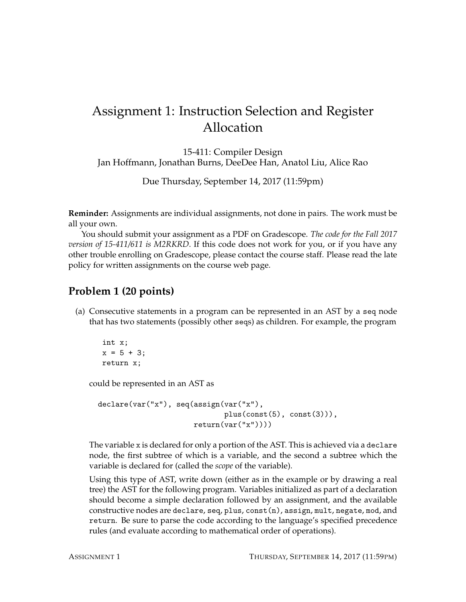# Assignment 1: Instruction Selection and Register Allocation

15-411: Compiler Design Jan Hoffmann, Jonathan Burns, DeeDee Han, Anatol Liu, Alice Rao

Due Thursday, September 14, 2017 (11:59pm)

**Reminder:** Assignments are individual assignments, not done in pairs. The work must be all your own.

You should submit your assignment as a PDF on Gradescope. *The code for the Fall 2017 version of 15-411/611 is M2RKRD*. If this code does not work for you, or if you have any other trouble enrolling on Gradescope, please contact the course staff. Please read the late policy for written assignments on the course web page.

### **Problem 1 (20 points)**

(a) Consecutive statements in a program can be represented in an AST by a seq node that has two statements (possibly other seqs) as children. For example, the program

```
int x;
x = 5 + 3:
return x;
```
could be represented in an AST as

```
declare(var("x"), seq(assign(var("x"),
                             plus(const(5), const(3))),
                      return(var("x"))))
```
The variable x is declared for only a portion of the AST. This is achieved via a declare node, the first subtree of which is a variable, and the second a subtree which the variable is declared for (called the *scope* of the variable).

Using this type of AST, write down (either as in the example or by drawing a real tree) the AST for the following program. Variables initialized as part of a declaration should become a simple declaration followed by an assignment, and the available constructive nodes are declare, seq, plus, const(n), assign, mult, negate, mod, and return. Be sure to parse the code according to the language's specified precedence rules (and evaluate according to mathematical order of operations).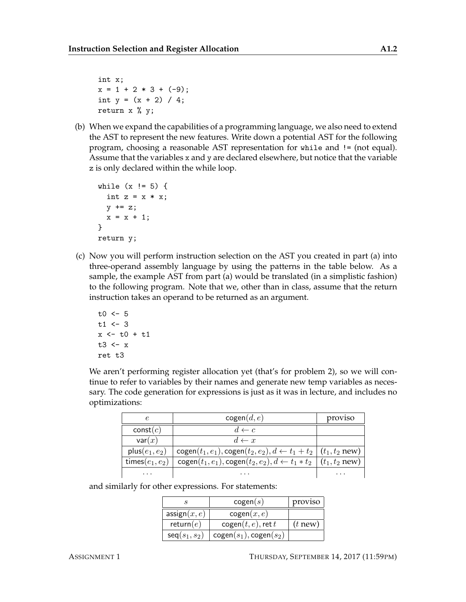int x;  $x = 1 + 2 * 3 + (-9)$ ; int  $y = (x + 2) / 4$ ; return x % y;

(b) When we expand the capabilities of a programming language, we also need to extend the AST to represent the new features. Write down a potential AST for the following program, choosing a reasonable AST representation for while and != (not equal). Assume that the variables x and y are declared elsewhere, but notice that the variable z is only declared within the while loop.

```
while (x := 5) {
  int z = x * x;
  y \leftarrow z;
  x = x + 1;}
return y;
```
(c) Now you will perform instruction selection on the AST you created in part (a) into three-operand assembly language by using the patterns in the table below. As a sample, the example AST from part (a) would be translated (in a simplistic fashion) to the following program. Note that we, other than in class, assume that the return instruction takes an operand to be returned as an argument.

```
t0 < -5t1 < -3x \leftarrow t0 + t1t3 < -xret t3
```
We aren't performing register allocation yet (that's for problem 2), so we will continue to refer to variables by their names and generate new temp variables as necessary. The code generation for expressions is just as it was in lecture, and includes no optimizations:

|                    | cogen(d, e)                                                                            | proviso  |
|--------------------|----------------------------------------------------------------------------------------|----------|
| const(c)           | $d \leftarrow c$                                                                       |          |
| var(x)             | $d \leftarrow x$                                                                       |          |
| plus $(e_1, e_2)$  | $cogen(t_1, e_1), cogen(t_2, e_2), d \leftarrow t_1 + t_2   (t_1, t_2 new)$            |          |
| times $(e_1, e_2)$ | $cogen(t_1, e_1), cogen(t_2, e_2), d \leftarrow t_1 * t_2 \mid (t_1, t_2 \text{ new})$ |          |
| $\cdots$           | $\cdots$                                                                               | $\cdots$ |

and similarly for other expressions. For statements:

|                         | cogen(s)                 | proviso    |
|-------------------------|--------------------------|------------|
| $\mathsf{assign}(x, e)$ | cogen(x, e)              |            |
| return $(e)$            | $cogen(t, e)$ , ret t    | $(t)$ new) |
| $seq(s_1, s_2)$         | $cogen(s_1), cogen(s_2)$ |            |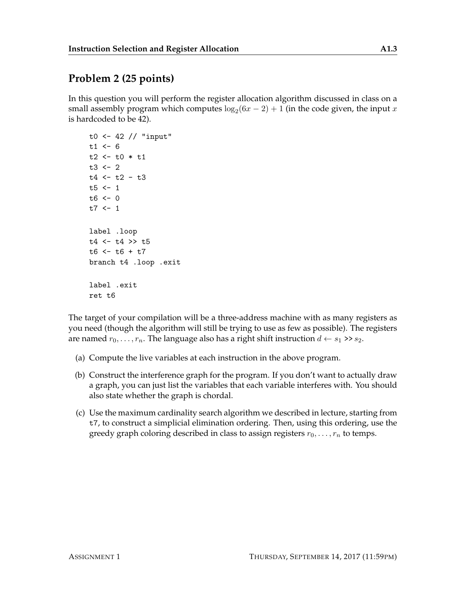## **Problem 2 (25 points)**

In this question you will perform the register allocation algorithm discussed in class on a small assembly program which computes  $\log_2(6x-2)+1$  (in the code given, the input  $x$ is hardcoded to be 42).

```
t0 <- 42 // "input"
t1 < -6t2 < -t0 * t1t3 < -2t4 < -t2 - t3t5 < -1t6 < -0t7 < -1label .loop
t4 <- t4 >> t5
t6 < -t6 + t7branch t4 .loop .exit
label .exit
ret t6
```
The target of your compilation will be a three-address machine with as many registers as you need (though the algorithm will still be trying to use as few as possible). The registers are named  $r_0, \ldots, r_n$ . The language also has a right shift instruction  $d \leftarrow s_1 \rightarrow s_2$ .

- (a) Compute the live variables at each instruction in the above program.
- (b) Construct the interference graph for the program. If you don't want to actually draw a graph, you can just list the variables that each variable interferes with. You should also state whether the graph is chordal.
- (c) Use the maximum cardinality search algorithm we described in lecture, starting from t7, to construct a simplicial elimination ordering. Then, using this ordering, use the greedy graph coloring described in class to assign registers  $r_0, \ldots, r_n$  to temps.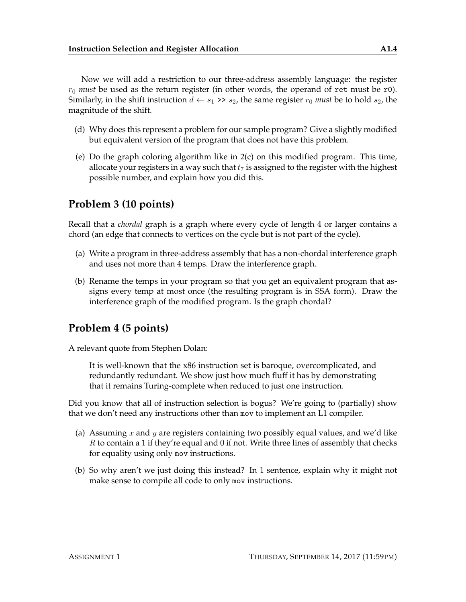Now we will add a restriction to our three-address assembly language: the register  $r_0$  *must* be used as the return register (in other words, the operand of ret must be r0). Similarly, in the shift instruction  $d \leftarrow s_1 \rightarrow s_2$ , the same register  $r_0$  *must* be to hold  $s_2$ , the magnitude of the shift.

- (d) Why does this represent a problem for our sample program? Give a slightly modified but equivalent version of the program that does not have this problem.
- (e) Do the graph coloring algorithm like in 2(c) on this modified program. This time, allocate your registers in a way such that  $t_7$  is assigned to the register with the highest possible number, and explain how you did this.

### **Problem 3 (10 points)**

Recall that a *chordal* graph is a graph where every cycle of length 4 or larger contains a chord (an edge that connects to vertices on the cycle but is not part of the cycle).

- (a) Write a program in three-address assembly that has a non-chordal interference graph and uses not more than 4 temps. Draw the interference graph.
- (b) Rename the temps in your program so that you get an equivalent program that assigns every temp at most once (the resulting program is in SSA form). Draw the interference graph of the modified program. Is the graph chordal?

### **Problem 4 (5 points)**

A relevant quote from Stephen Dolan:

It is well-known that the x86 instruction set is baroque, overcomplicated, and redundantly redundant. We show just how much fluff it has by demonstrating that it remains Turing-complete when reduced to just one instruction.

Did you know that all of instruction selection is bogus? We're going to (partially) show that we don't need any instructions other than mov to implement an L1 compiler.

- (a) Assuming x and y are registers containing two possibly equal values, and we'd like  $R$  to contain a 1 if they're equal and 0 if not. Write three lines of assembly that checks for equality using only mov instructions.
- (b) So why aren't we just doing this instead? In 1 sentence, explain why it might not make sense to compile all code to only mov instructions.